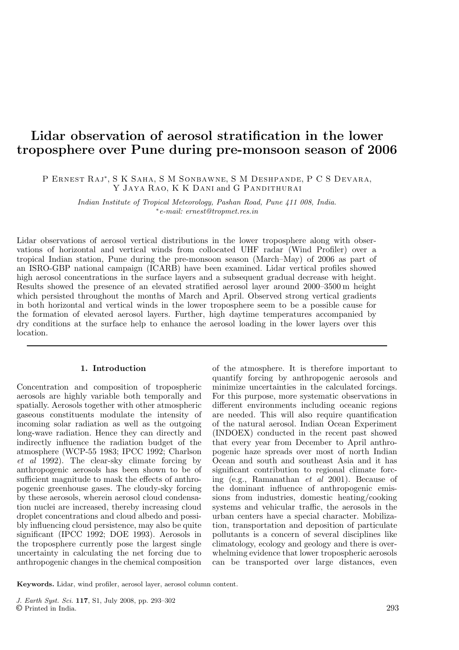# **Lidar observation of aerosol stratification in the lower troposphere over Pune during pre-monsoon season of 2006**

P Ernest Raj∗, S K Saha, S M Sonbawne, S M Deshpande, P C S Devara, Y Jaya Rao, K K Dani and G Pandithurai

> *Indian Institute of Tropical Meteorology, Pashan Road, Pune 411 008, India.* ∗*e-mail: ernest@tropmet.res.in*

Lidar observations of aerosol vertical distributions in the lower troposphere along with observations of horizontal and vertical winds from collocated UHF radar (Wind Profiler) over a tropical Indian station, Pune during the pre-monsoon season (March–May) of 2006 as part of an ISRO-GBP national campaign (ICARB) have been examined. Lidar vertical profiles showed high aerosol concentrations in the surface layers and a subsequent gradual decrease with height. Results showed the presence of an elevated stratified aerosol layer around 2000–3500 m height which persisted throughout the months of March and April. Observed strong vertical gradients in both horizontal and vertical winds in the lower troposphere seem to be a possible cause for the formation of elevated aerosol layers. Further, high daytime temperatures accompanied by dry conditions at the surface help to enhance the aerosol loading in the lower layers over this location.

## **1. Introduction**

Concentration and composition of tropospheric aerosols are highly variable both temporally and spatially. Aerosols together with other atmospheric gaseous constituents modulate the intensity of incoming solar radiation as well as the outgoing long-wave radiation. Hence they can directly and indirectly influence the radiation budget of the atmosphere (WCP-55 1983; IPCC 1992; Charlson *et al* 1992). The clear-sky climate forcing by anthropogenic aerosols has been shown to be of sufficient magnitude to mask the effects of anthropogenic greenhouse gases. The cloudy-sky forcing by these aerosols, wherein aerosol cloud condensation nuclei are increased, thereby increasing cloud droplet concentrations and cloud albedo and possibly influencing cloud persistence, may also be quite significant (IPCC 1992; DOE 1993). Aerosols in the troposphere currently pose the largest single uncertainty in calculating the net forcing due to anthropogenic changes in the chemical composition

of the atmosphere. It is therefore important to quantify forcing by anthropogenic aerosols and minimize uncertainties in the calculated forcings. For this purpose, more systematic observations in different environments including oceanic regions are needed. This will also require quantification of the natural aerosol. Indian Ocean Experiment (INDOEX) conducted in the recent past showed that every year from December to April anthropogenic haze spreads over most of north Indian Ocean and south and southeast Asia and it has significant contribution to regional climate forcing (e.g., Ramanathan *et al* 2001). Because of the dominant influence of anthropogenic emissions from industries, domestic heating/cooking systems and vehicular traffic, the aerosols in the urban centers have a special character. Mobilization, transportation and deposition of particulate pollutants is a concern of several disciplines like climatology, ecology and geology and there is overwhelming evidence that lower tropospheric aerosols can be transported over large distances, even

**Keywords.** Lidar, wind profiler, aerosol layer, aerosol column content.

*J. Earth Syst. Sci.* **117**, S1, July 2008, pp. 293–302 © Printed in India. 293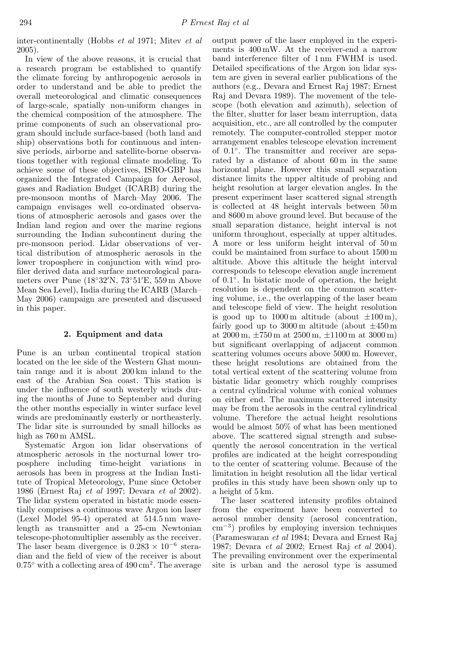inter-continentally (Hobbs *et al* 1971; Mitev *et al* 2005).

In view of the above reasons, it is crucial that a research program be established to quantify the climate forcing by anthropogenic aerosols in order to understand and be able to predict the overall meteorological and climatic consequences of large-scale, spatially non-uniform changes in the chemical composition of the atmosphere. The prime components of such an observational program should include surface-based (both land and ship) observations both for continuous and intensive periods, airborne and satellite-borne observations together with regional climate modeling. To achieve some of these objectives, ISRO-GBP has organized the Integrated Campaign for Aerosol, gases and Radiation Budget (ICARB) during the pre-monsoon months of March–May 2006. The campaign envisages well co-ordinated observations of atmospheric aerosols and gases over the Indian land region and over the marine regions surrounding the Indian subcontinent during the pre-monsoon period. Lidar observations of vertical distribution of atmospheric aerosols in the lower troposphere in conjunction with wind profiler derived data and surface meteorological parameters over Pune (18◦32 N, 73◦51 E, 559 m Above Mean Sea Level), India during the ICARB (March– May 2006) campaign are presented and discussed in this paper.

# **2. Equipment and data**

Pune is an urban continental tropical station located on the lee side of the Western Ghat mountain range and it is about 200 km inland to the east of the Arabian Sea coast. This station is under the influence of south westerly winds during the months of June to September and during the other months especially in winter surface level winds are predominantly easterly or northeasterly. The lidar site is surrounded by small hillocks as high as 760 m AMSL.

Systematic Argon ion lidar observations of atmospheric aerosols in the nocturnal lower troposphere including time-height variations in aerosols has been in progress at the Indian Institute of Tropical Meteorology, Pune since October 1986 (Ernest Raj *et al* 1997; Devara *et al* 2002). The lidar system operated in bistatic mode essentially comprises a continuous wave Argon ion laser (Lexel Model 95-4) operated at 514.5 nm wavelength as transmitter and a 25-cm Newtonian telescope-photomultiplier assembly as the receiver. The laser beam divergence is  $0.283 \times 10^{-6}$  steradian and the field of view of the receiver is about  $0.75^{\circ}$  with a collecting area of  $490 \text{ cm}^2$ . The average

output power of the laser employed in the experiments is 400 mW. At the receiver-end a narrow band interference filter of 1 nm FWHM is used. Detailed specifications of the Argon ion lidar system are given in several earlier publications of the authors (e.g., Devara and Ernest Raj 1987; Ernest Raj and Devara 1989). The movement of the telescope (both elevation and azimuth), selection of the filter, shutter for laser beam interruption, data acquisition, etc., are all controlled by the computer remotely. The computer-controlled stepper motor arrangement enables telescope elevation increment of 0*.*1◦. The transmitter and receiver are separated by a distance of about 60 m in the same horizontal plane. However this small separation distance limits the upper altitude of probing and height resolution at larger elevation angles. In the present experiment laser scattered signal strength is collected at 48 height intervals between 50 m and 8600 m above ground level. But because of the small separation distance, height interval is not uniform throughout, especially at upper altitudes. A more or less uniform height interval of 50 m could be maintained from surface to about 1500 m altitude. Above this altitude the height interval corresponds to telescope elevation angle increment of 0*.*1◦. In bistatic mode of operation, the height resolution is dependent on the common scattering volume, i.e., the overlapping of the laser beam and telescope field of view. The height resolution is good up to  $1000 \text{ m}$  altitude (about  $\pm 100 \text{ m}$ ), fairly good up to  $3000 \text{ m}$  altitude (about  $\pm 450 \text{ m}$ ) at  $2000 \,\mathrm{m}$ ,  $\pm 750 \,\mathrm{m}$  at  $2500 \,\mathrm{m}$ ,  $\pm 1100 \,\mathrm{m}$  at  $3000 \,\mathrm{m}$ ) but significant overlapping of adjacent common scattering volumes occurs above 5000 m. However, these height resolutions are obtained from the total vertical extent of the scattering volume from bistatic lidar geometry which roughly comprises a central cylindrical volume with conical volumes on either end. The maximum scattered intensity may be from the aerosols in the central cylindrical volume. Therefore the actual height resolutions would be almost 50% of what has been mentioned above. The scattered signal strength and subsequently the aerosol concentration in the vertical profiles are indicated at the height corresponding to the center of scattering volume. Because of the limitation in height resolution all the lidar vertical profiles in this study have been shown only up to a height of 5 km.

The laser scattered intensity profiles obtained from the experiment have been converted to aerosol number density (aerosol concentration, cm−<sup>3</sup>) profiles by employing inversion techniques (Parameswaran *et al* 1984; Devara and Ernest Raj 1987; Devara *et al* 2002; Ernest Raj *et al* 2004). The prevailing environment over the experimental site is urban and the aerosol type is assumed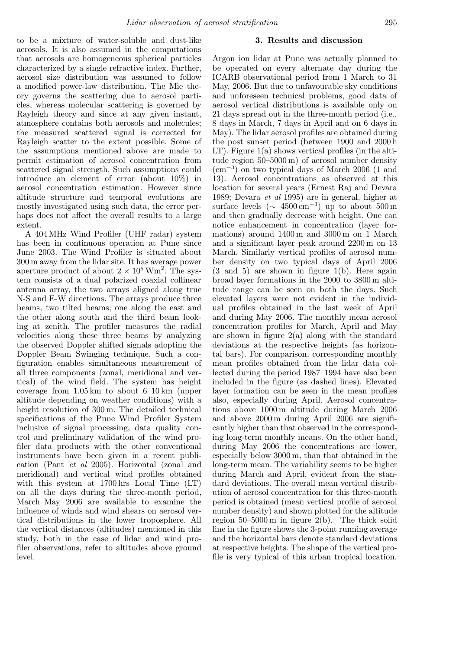to be a mixture of water-soluble and dust-like aerosols. It is also assumed in the computations that aerosols are homogeneous spherical particles characterized by a single refractive index. Further, aerosol size distribution was assumed to follow a modified power-law distribution. The Mie theory governs the scattering due to aerosol particles, whereas molecular scattering is governed by Rayleigh theory and since at any given instant, atmosphere contains both aerosols and molecules; the measured scattered signal is corrected for Rayleigh scatter to the extent possible. Some of the assumptions mentioned above are made to permit estimation of aerosol concentration from scattered signal strength. Such assumptions could introduce an element of error (about 10%) in aerosol concentration estimation. However since altitude structure and temporal evolutions are mostly investigated using such data, the error perhaps does not affect the overall results to a large extent.

A 404 MHz Wind Profiler (UHF radar) system has been in continuous operation at Pune since June 2003. The Wind Profiler is situated about 300 m away from the lidar site. It has average power aperture product of about  $2 \times 10^5$  Wm<sup>2</sup>. The system consists of a dual polarized coaxial collinear antenna array, the two arrays aligned along true N-S and E-W directions. The arrays produce three beams, two tilted beams; one along the east and the other along south and the third beam looking at zenith. The profiler measures the radial velocities along these three beams by analyzing the observed Doppler shifted signals adopting the Doppler Beam Swinging technique. Such a configuration enables simultaneous measurement of all three components (zonal, meridional and vertical) of the wind field. The system has height coverage from 1.05 km to about 6–10 km (upper altitude depending on weather conditions) with a height resolution of 300 m. The detailed technical specifications of the Pune Wind Profiler System inclusive of signal processing, data quality control and preliminary validation of the wind profiler data products with the other conventional instruments have been given in a recent publication (Pant *et al* 2005). Horizontal (zonal and meridional) and vertical wind profiles obtained with this system at 1700 hrs Local Time (LT) on all the days during the three-month period, March–May 2006 are available to examine the influence of winds and wind shears on aerosol vertical distributions in the lower troposphere. All the vertical distances (altitudes) mentioned in this study, both in the case of lidar and wind profiler observations, refer to altitudes above ground level.

# **3. Results and discussion**

Argon ion lidar at Pune was actually planned to be operated on every alternate day during the ICARB observational period from 1 March to 31 May, 2006. But due to unfavourable sky conditions and unforeseen technical problems, good data of aerosol vertical distributions is available only on 21 days spread out in the three-month period (i.e., 8 days in March, 7 days in April and on 6 days in May). The lidar aerosol profiles are obtained during the post sunset period (between 1900 and 2000 h LT). Figure 1(a) shows vertical profiles (in the altitude region 50–5000 m) of aerosol number density (cm−<sup>3</sup>) on two typical days of March 2006 (1 and 13). Aerosol concentrations as observed at this location for several years (Ernest Raj and Devara 1989; Devara *et al* 1995) are in general, higher at surface levels ( $\sim 4500 \,\mathrm{cm}^{-3}$ ) up to about 500 m and then gradually decrease with height. One can notice enhancement in concentration (layer formations) around 1400 m and 3000 m on 1 March and a significant layer peak around 2200 m on 13 March. Similarly vertical profiles of aerosol number density on two typical days of April 2006 (3 and 5) are shown in figure 1(b). Here again broad layer formations in the 2000 to 3800 m altitude range can be seen on both the days. Such elevated layers were not evident in the individual profiles obtained in the last week of April and during May 2006. The monthly mean aerosol concentration profiles for March, April and May are shown in figure  $2(a)$  along with the standard deviations at the respective heights (as horizontal bars). For comparison, corresponding monthly mean profiles obtained from the lidar data collected during the period 1987–1994 have also been included in the figure (as dashed lines). Elevated layer formation can be seen in the mean profiles also, especially during April. Aerosol concentrations above 1000 m altitude during March 2006 and above 2000 m during April 2006 are significantly higher than that observed in the corresponding long-term monthly means. On the other hand, during May 2006 the concentrations are lower, especially below 3000 m, than that obtained in the long-term mean. The variability seems to be higher during March and April, evident from the standard deviations. The overall mean vertical distribution of aerosol concentration for this three-month period is obtained (mean vertical profile of aerosol number density) and shown plotted for the altitude region  $50-5000$  m in figure  $2(b)$ . The thick solid line in the figure shows the 3-point running average and the horizontal bars denote standard deviations at respective heights. The shape of the vertical profile is very typical of this urban tropical location.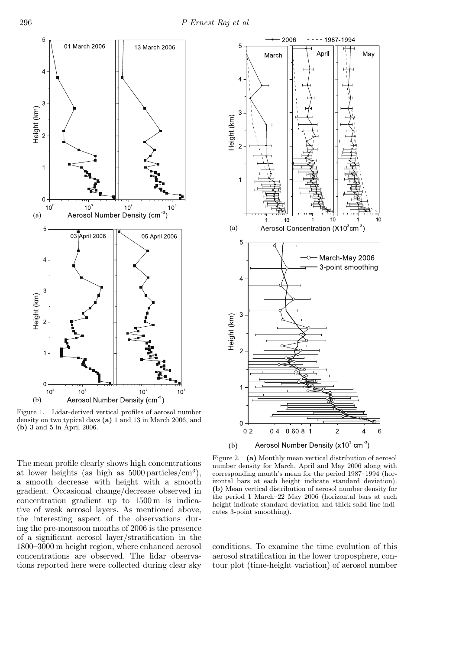

Figure 1. Lidar-derived vertical profiles of aerosol number density on two typical days **(a)** 1 and 13 in March 2006, and **(b)** 3 and 5 in April 2006.

The mean profile clearly shows high concentrations at lower heights (as high as  $5000 \,\text{particles/cm}^3$ ), a smooth decrease with height with a smooth gradient. Occasional change/decrease observed in concentration gradient up to 1500 m is indicative of weak aerosol layers. As mentioned above, the interesting aspect of the observations during the pre-monsoon months of 2006 is the presence of a significant aerosol layer/stratification in the 1800–3000 m height region, where enhanced aerosol concentrations are observed. The lidar observations reported here were collected during clear sky



 $(b)$ 

Figure 2. **(a)** Monthly mean vertical distribution of aerosol number density for March, April and May 2006 along with corresponding month's mean for the period 1987–1994 (horizontal bars at each height indicate standard deviation). **(b)** Mean vertical distribution of aerosol number density for the period 1 March–22 May 2006 (horizontal bars at each height indicate standard deviation and thick solid line indicates 3-point smoothing).

conditions. To examine the time evolution of this aerosol stratification in the lower troposphere, contour plot (time-height variation) of aerosol number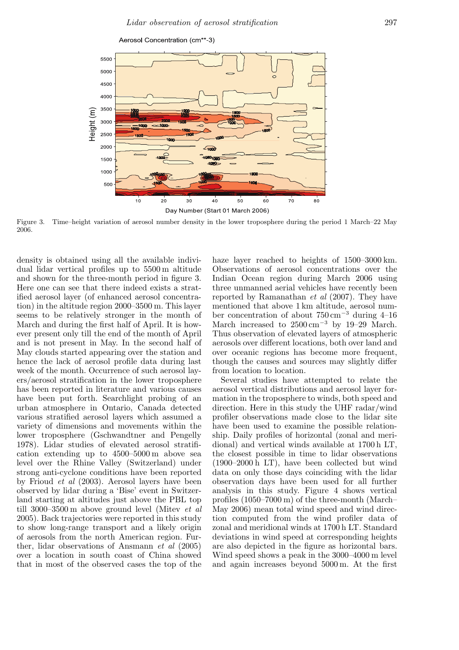![](_page_4_Figure_1.jpeg)

Aerosol Concentration (cm\*\*-3)

Figure 3. Time–height variation of aerosol number density in the lower troposphere during the period 1 March–22 May 2006.

density is obtained using all the available individual lidar vertical profiles up to 5500 m altitude and shown for the three-month period in figure 3. Here one can see that there indeed exists a stratified aerosol layer (of enhanced aerosol concentration) in the altitude region 2000–3500 m. This layer seems to be relatively stronger in the month of March and during the first half of April. It is however present only till the end of the month of April and is not present in May. In the second half of May clouds started appearing over the station and hence the lack of aerosol profile data during last week of the month. Occurrence of such aerosol layers/aerosol stratification in the lower troposphere has been reported in literature and various causes have been put forth. Searchlight probing of an urban atmosphere in Ontario, Canada detected various stratified aerosol layers which assumed a variety of dimensions and movements within the lower troposphere (Gschwandtner and Pengelly 1978). Lidar studies of elevated aerosol stratification extending up to 4500–5000 m above sea level over the Rhine Valley (Switzerland) under strong anti-cyclone conditions have been reported by Frioud *et al* (2003). Aerosol layers have been observed by lidar during a 'Bise' event in Switzerland starting at altitudes just above the PBL top till 3000–3500 m above ground level (Mitev *et al* 2005). Back trajectories were reported in this study to show long-range transport and a likely origin of aerosols from the north American region. Further, lidar observations of Ansmann *et al* (2005) over a location in south coast of China showed that in most of the observed cases the top of the

haze layer reached to heights of  $1500-3000 \text{ km}$ . Observations of aerosol concentrations over the Indian Ocean region during March 2006 using three unmanned aerial vehicles have recently been reported by Ramanathan *et al* (2007). They have mentioned that above 1 km altitude, aerosol number concentration of about 750 cm−<sup>3</sup> during 4–16 March increased to  $2500 \text{ cm}^{-3}$  by 19–29 March. Thus observation of elevated layers of atmospheric aerosols over different locations, both over land and over oceanic regions has become more frequent, though the causes and sources may slightly differ from location to location.

Several studies have attempted to relate the aerosol vertical distributions and aerosol layer formation in the troposphere to winds, both speed and direction. Here in this study the UHF radar/wind profiler observations made close to the lidar site have been used to examine the possible relationship. Daily profiles of horizontal (zonal and meridional) and vertical winds available at 1700 h LT, the closest possible in time to lidar observations (1900–2000 h LT), have been collected but wind data on only those days coinciding with the lidar observation days have been used for all further analysis in this study. Figure 4 shows vertical profiles (1050–7000 m) of the three-month (March– May 2006) mean total wind speed and wind direction computed from the wind profiler data of zonal and meridional winds at 1700 h LT. Standard deviations in wind speed at corresponding heights are also depicted in the figure as horizontal bars. Wind speed shows a peak in the 3000–4000 m level and again increases beyond 5000 m. At the first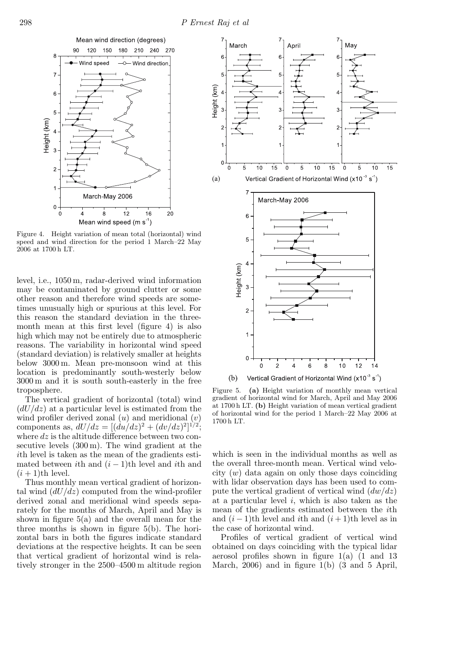![](_page_5_Figure_1.jpeg)

Figure 4. Height variation of mean total (horizontal) wind speed and wind direction for the period 1 March–22 May 2006 at 1700 h LT.

level, i.e., 1050 m, radar-derived wind information may be contaminated by ground clutter or some other reason and therefore wind speeds are sometimes unusually high or spurious at this level. For this reason the standard deviation in the threemonth mean at this first level (figure 4) is also high which may not be entirely due to atmospheric reasons. The variability in horizontal wind speed (standard deviation) is relatively smaller at heights below 3000 m. Mean pre-monsoon wind at this location is predominantly south-westerly below 3000 m and it is south south-easterly in the free troposphere.

The vertical gradient of horizontal (total) wind  $(dU/dz)$  at a particular level is estimated from the wind profiler derived zonal (*u*) and meridional (*v*) components as,  $dU/dz = [(\dot{du}/dz)^2 + (dv/dz)^2]^{1/2};$ where *dz* is the altitude difference between two consecutive levels (300 m). The wind gradient at the *i*th level is taken as the mean of the gradients estimated between *i*th and  $(i - 1)$ th level and *i*th and  $(i+1)$ <sup>th</sup> level.

Thus monthly mean vertical gradient of horizontal wind (*dU/dz*) computed from the wind-profiler derived zonal and meridional wind speeds separately for the months of March, April and May is shown in figure 5(a) and the overall mean for the three months is shown in figure 5(b). The horizontal bars in both the figures indicate standard deviations at the respective heights. It can be seen that vertical gradient of horizontal wind is relatively stronger in the 2500–4500 m altitude region

![](_page_5_Figure_6.jpeg)

Figure 5. **(a)** Height variation of monthly mean vertical gradient of horizontal wind for March, April and May 2006 at 1700 h LT. **(b)** Height variation of mean vertical gradient of horizontal wind for the period 1 March–22 May 2006 at 1700 h LT.

which is seen in the individual months as well as the overall three-month mean. Vertical wind velocity (*w*) data again on only those days coinciding with lidar observation days has been used to compute the vertical gradient of vertical wind (*dw/dz*) at a particular level *i*, which is also taken as the mean of the gradients estimated between the *i*th and  $(i-1)$ th level and *i*th and  $(i+1)$ th level as in the case of horizontal wind.

Profiles of vertical gradient of vertical wind obtained on days coinciding with the typical lidar aerosol profiles shown in figure  $1(a)$  (1 and 13 March,  $2006$ ) and in figure 1(b) (3 and 5 April,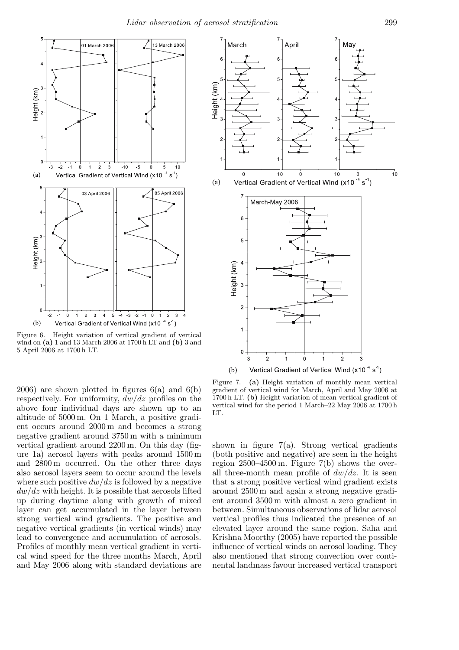![](_page_6_Figure_1.jpeg)

Figure 6. Height variation of vertical gradient of vertical wind on **(a)** 1 and 13 March 2006 at 1700 h LT and **(b)** 3 and 5 April 2006 at 1700 h LT.

 $2006$ ) are shown plotted in figures  $6(a)$  and  $6(b)$ respectively. For uniformity, *dw/dz* profiles on the above four individual days are shown up to an altitude of 5000 m. On 1 March, a positive gradient occurs around 2000 m and becomes a strong negative gradient around 3750 m with a minimum vertical gradient around 2200 m. On this day (figure 1a) aerosol layers with peaks around 1500 m and 2800 m occurred. On the other three days also aerosol layers seem to occur around the levels where such positive *dw/dz* is followed by a negative *dw/dz* with height. It is possible that aerosols lifted up during daytime along with growth of mixed layer can get accumulated in the layer between strong vertical wind gradients. The positive and negative vertical gradients (in vertical winds) may lead to convergence and accumulation of aerosols. Profiles of monthly mean vertical gradient in vertical wind speed for the three months March, April and May 2006 along with standard deviations are

![](_page_6_Figure_4.jpeg)

![](_page_6_Figure_5.jpeg)

Vertical Gradient of Vertical Wind (x10<sup>4</sup> s<sup>1</sup>)  $(b)$ 

Figure 7. **(a)** Height variation of monthly mean vertical gradient of vertical wind for March, April and May 2006 at 1700 h LT. **(b)** Height variation of mean vertical gradient of vertical wind for the period 1 March–22 May 2006 at 1700 h LT.

shown in figure  $7(a)$ . Strong vertical gradients (both positive and negative) are seen in the height region 2500–4500 m. Figure 7(b) shows the overall three-month mean profile of *dw/dz*. It is seen that a strong positive vertical wind gradient exists around 2500 m and again a strong negative gradient around 3500 m with almost a zero gradient in between. Simultaneous observations of lidar aerosol vertical profiles thus indicated the presence of an elevated layer around the same region. Saha and Krishna Moorthy (2005) have reported the possible influence of vertical winds on aerosol loading. They also mentioned that strong convection over continental landmass favour increased vertical transport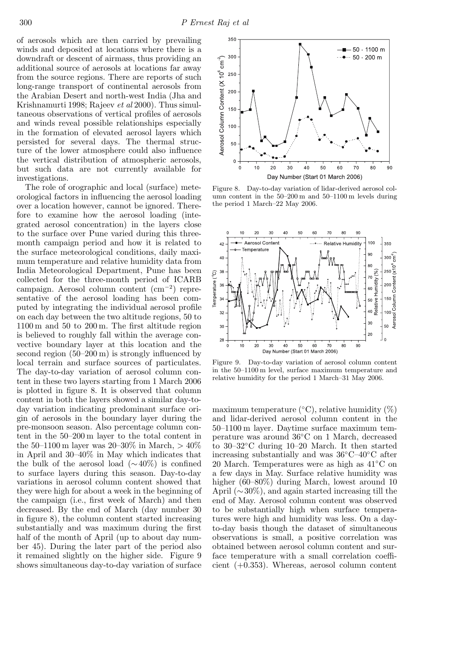of aerosols which are then carried by prevailing winds and deposited at locations where there is a downdraft or descent of airmass, thus providing an additional source of aerosols at locations far away from the source regions. There are reports of such long-range transport of continental aerosols from the Arabian Desert and north-west India (Jha and Krishnamurti 1998; Rajeev *et al* 2000). Thus simultaneous observations of vertical profiles of aerosols and winds reveal possible relationships especially in the formation of elevated aerosol layers which persisted for several days. The thermal structure of the lower atmosphere could also influence the vertical distribution of atmospheric aerosols, but such data are not currently available for investigations.

The role of orographic and local (surface) meteorological factors in influencing the aerosol loading over a location however, cannot be ignored. Therefore to examine how the aerosol loading (integrated aerosol concentration) in the layers close to the surface over Pune varied during this threemonth campaign period and how it is related to the surface meteorological conditions, daily maximum temperature and relative humidity data from India Meteorological Department, Pune has been collected for the three-month period of ICARB campaign. Aerosol column content (cm−<sup>2</sup>) representative of the aerosol loading has been computed by integrating the individual aerosol profile on each day between the two altitude regions, 50 to 1100 m and 50 to 200 m. The first altitude region is believed to roughly fall within the average convective boundary layer at this location and the second region (50–200 m) is strongly influenced by local terrain and surface sources of particulates. The day-to-day variation of aerosol column content in these two layers starting from 1 March 2006 is plotted in figure 8. It is observed that column content in both the layers showed a similar day-today variation indicating predominant surface origin of aerosols in the boundary layer during the pre-monsoon season. Also percentage column content in the 50–200 m layer to the total content in the 50–1100 m layer was 20–30% in March, *>* 40% in April and 30–40% in May which indicates that the bulk of the aerosol load ( $\sim$ 40%) is confined to surface layers during this season. Day-to-day variations in aerosol column content showed that they were high for about a week in the beginning of the campaign (i.e., first week of March) and then decreased. By the end of March (day number 30 in figure 8), the column content started increasing substantially and was maximum during the first half of the month of April (up to about day number 45). During the later part of the period also it remained slightly on the higher side. Figure 9 shows simultaneous day-to-day variation of surface

![](_page_7_Figure_3.jpeg)

Figure 8. Day-to-day variation of lidar-derived aerosol column content in the 50–200 m and 50–1100 m levels during the period 1 March–22 May 2006.

![](_page_7_Figure_5.jpeg)

Figure 9. Day-to-day variation of aerosol column content in the 50–1100 m level, surface maximum temperature and relative humidity for the period 1 March–31 May 2006.

maximum temperature  $(^{\circ}C)$ , relative humidity  $(\%)$ and lidar-derived aerosol column content in the 50–1100 m layer. Daytime surface maximum temperature was around 36◦C on 1 March, decreased to 30–32◦C during 10–20 March. It then started increasing substantially and was 36◦C–40◦C after 20 March. Temperatures were as high as 41◦C on a few days in May. Surface relative humidity was higher (60–80%) during March, lowest around 10 April (∼30%), and again started increasing till the end of May. Aerosol column content was observed to be substantially high when surface temperatures were high and humidity was less. On a dayto-day basis though the dataset of simultaneous observations is small, a positive correlation was obtained between aerosol column content and surface temperature with a small correlation coefficient (+0*.*353). Whereas, aerosol column content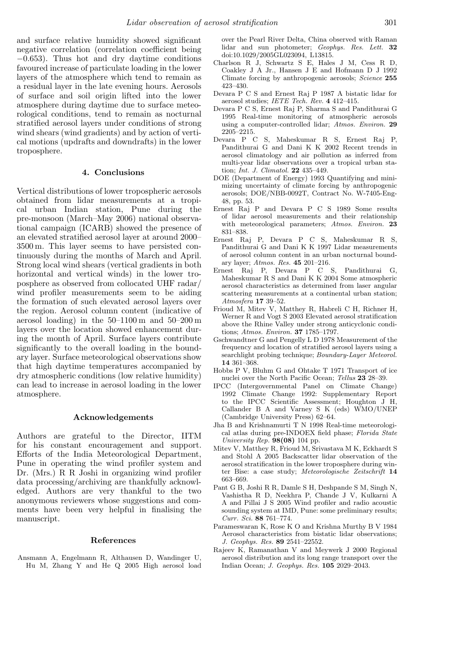and surface relative humidity showed significant negative correlation (correlation coefficient being <sup>−</sup>0*.*653). Thus hot and dry daytime conditions favoured increase of particulate loading in the lower layers of the atmosphere which tend to remain as a residual layer in the late evening hours. Aerosols of surface and soil origin lifted into the lower atmosphere during daytime due to surface meteorological conditions, tend to remain as nocturnal stratified aerosol layers under conditions of strong wind shears (wind gradients) and by action of vertical motions (updrafts and downdrafts) in the lower troposphere.

#### **4. Conclusions**

Vertical distributions of lower tropospheric aerosols obtained from lidar measurements at a tropical urban Indian station, Pune during the pre-monsoon (March–May 2006) national observational campaign (ICARB) showed the presence of an elevated stratified aerosol layer at around 2000– 3500 m. This layer seems to have persisted continuously during the months of March and April. Strong local wind shears (vertical gradients in both horizontal and vertical winds) in the lower troposphere as observed from collocated UHF radar/ wind profiler measurements seem to be aiding the formation of such elevated aerosol layers over the region. Aerosol column content (indicative of aerosol loading) in the 50–1100 m and 50–200 m layers over the location showed enhancement during the month of April. Surface layers contribute significantly to the overall loading in the boundary layer. Surface meteorological observations show that high daytime temperatures accompanied by dry atmospheric conditions (low relative humidity) can lead to increase in aerosol loading in the lower atmosphere.

### **Acknowledgements**

Authors are grateful to the Director, IITM for his constant encouragement and support. Efforts of the India Meteorological Department, Pune in operating the wind profiler system and Dr. (Mrs.) R R Joshi in organizing wind profiler data processing/archiving are thankfully acknowledged. Authors are very thankful to the two anonymous reviewers whose suggestions and comments have been very helpful in finalising the manuscript.

#### **References**

Ansmann A, Engelmann R, Althausen D, Wandinger U, Hu M, Zhang Y and He Q 2005 High aerosol load over the Pearl River Delta, China observed with Raman lidar and sun photometer; *Geophys. Res. Lett.* **32** doi:10.1029/2005GL023094, L13815.

- Charlson R J, Schwartz S E, Hales J M, Cess R D, Coakley J A Jr., Hansen J E and Hofmann D J 1992 Climate forcing by anthropogenic aerosols; *Science* **255** 423–430.
- Devara P C S and Ernest Raj P 1987 A bistatic lidar for aerosol studies; *IETE Tech. Rev.* **4** 412–415.
- Devara P C S, Ernest Raj P, Sharma S and Pandithurai G 1995 Real-time monitoring of atmospheric aerosols using a computer-controlled lidar; *Atmos. Environ.* **29** 2205–2215.
- Devara P C S, Maheskumar R S, Ernest Raj P, Pandithurai G and Dani K K 2002 Recent trends in aerosol climatology and air pollution as inferred from multi-year lidar observations over a tropical urban station; *Int. J. Climatol.* **22** 435–449.
- DOE (Department of Energy) 1993 Quantifying and minimizing uncertainty of climate forcing by anthropogenic aerosols; DOE/NBB-0092T, Contract No. W-7405-Eng-48, pp. 53.
- Ernest Raj P and Devara P C S 1989 Some results of lidar aerosol measurements and their relationship with meteorological parameters; *Atmos. Environ.* **23** 831–838.
- Ernest Raj P, Devara P C S, Maheskumar R S, Pandithurai G and Dani K K 1997 Lidar measurements of aerosol column content in an urban nocturnal boundary layer; *Atmos. Res.* **45** 201–216.
- Ernest Raj P, Devara P C S, Pandithurai G, Maheskumar R S and Dani K K 2004 Some atmospheric aerosol characteristics as determined from laser angular scattering measurements at a continental urban station; *Atmosfera* **17** 39–52.
- Frioud M, Mitev V, Matthey R, Habreli C H, Richner H, Werner R and Vogt S 2003 Elevated aerosol stratification above the Rhine Valley under strong anticyclonic conditions; *Atmos. Environ.* **37** 1785–1797.
- Gschwandtner G and Pengelly L D 1978 Measurement of the frequency and location of stratified aerosol layers using a searchlight probing technique; *Boundary-Layer Meteorol.* **14** 361–368.
- Hobbs P V, Bluhm G and Ohtake T 1971 Transport of ice nuclei over the North Pacific Ocean; *Tellus* **23** 28–39.
- IPCC (Intergovernmental Panel on Climate Change) 1992 Climate Change 1992: Supplementary Report to the IPCC Scientific Assessment; Houghton J H, Callander B A and Varney S K (eds) WMO/UNEP (Cambridge University Press) 62–64.
- Jha B and Krishnamurti T N 1998 Real-time meteorological atlas during pre-INDOEX field phase; *Florida State University Rep.* **98(08)** 104 pp.
- Mitev V, Matthey R, Frioud M, Srivastava M K, Eckhardt S and Stohl A 2005 Backscatter lidar observation of the aerosol stratification in the lower troposphere during winter Bise: a case study; *Meteorologische Zeitschrift* **14** 663–669.
- Pant G B, Joshi R R, Damle S H, Deshpande S M, Singh N, Vashistha R D, Neekhra P, Chande J V, Kulkarni A A and Pillai J S 2005 Wind profiler and radio acoustic sounding system at IMD, Pune: some preliminary results; *Curr. Sci.* **88** 761–774.
- Parameswaran K, Rose K O and Krishna Murthy B V 1984 Aerosol characteristics from bistatic lidar observations; *J. Geophys. Res.* **89** 2541–22552.
- Rajeev K, Ramanathan V and Meywerk J 2000 Regional aerosol distribution and its long range transport over the Indian Ocean; *J. Geophys. Res.* **105** 2029–2043.